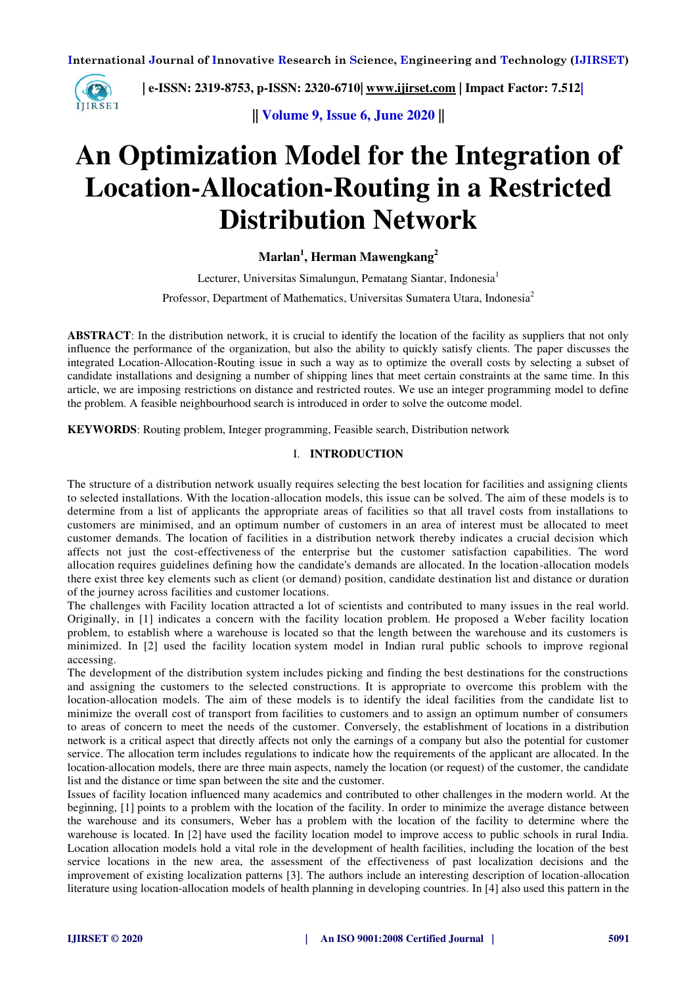

 **| e-ISSN: 2319-8753, p-ISSN: 2320-6710| [www.ijirset.com](http://www.ijirset.com/) | Impact Factor: 7.512|**

**|| Volume 9, Issue 6, June 2020 ||** 

# **An Optimization Model for the Integration of Location-Allocation-Routing in a Restricted Distribution Network**

# **Marlan<sup>1</sup> , Herman Mawengkang<sup>2</sup>**

Lecturer, Universitas Simalungun, Pematang Siantar, Indonesia<sup>1</sup>

Professor, Department of Mathematics, Universitas Sumatera Utara, Indonesia<sup>2</sup>

**ABSTRACT**: In the distribution network, it is crucial to identify the location of the facility as suppliers that not only influence the performance of the organization, but also the ability to quickly satisfy clients. The paper discusses the integrated Location-Allocation-Routing issue in such a way as to optimize the overall costs by selecting a subset of candidate installations and designing a number of shipping lines that meet certain constraints at the same time. In this article, we are imposing restrictions on distance and restricted routes. We use an integer programming model to define the problem. A feasible neighbourhood search is introduced in order to solve the outcome model.

**KEYWORDS**: Routing problem, Integer programming, Feasible search, Distribution network

### I. **INTRODUCTION**

The structure of a distribution network usually requires selecting the best location for facilities and assigning clients to selected installations. With the location-allocation models, this issue can be solved. The aim of these models is to determine from a list of applicants the appropriate areas of facilities so that all travel costs from installations to customers are minimised, and an optimum number of customers in an area of interest must be allocated to meet customer demands. The location of facilities in a distribution network thereby indicates a crucial decision which affects not just the cost-effectiveness of the enterprise but the customer satisfaction capabilities. The word allocation requires guidelines defining how the candidate's demands are allocated. In the location-allocation models there exist three key elements such as client (or demand) position, candidate destination list and distance or duration of the journey across facilities and customer locations.

The challenges with Facility location attracted a lot of scientists and contributed to many issues in the real world. Originally, in [1] indicates a concern with the facility location problem. He proposed a Weber facility location problem, to establish where a warehouse is located so that the length between the warehouse and its customers is minimized. In [2] used the facility location system model in Indian rural public schools to improve regional accessing.

The development of the distribution system includes picking and finding the best destinations for the constructions and assigning the customers to the selected constructions. It is appropriate to overcome this problem with the location-allocation models. The aim of these models is to identify the ideal facilities from the candidate list to minimize the overall cost of transport from facilities to customers and to assign an optimum number of consumers to areas of concern to meet the needs of the customer. Conversely, the establishment of locations in a distribution network is a critical aspect that directly affects not only the earnings of a company but also the potential for customer service. The allocation term includes regulations to indicate how the requirements of the applicant are allocated. In the location-allocation models, there are three main aspects, namely the location (or request) of the customer, the candidate list and the distance or time span between the site and the customer.

Issues of facility location influenced many academics and contributed to other challenges in the modern world. At the beginning, [1] points to a problem with the location of the facility. In order to minimize the average distance between the warehouse and its consumers, Weber has a problem with the location of the facility to determine where the warehouse is located. In [2] have used the facility location model to improve access to public schools in rural India. Location allocation models hold a vital role in the development of health facilities, including the location of the best service locations in the new area, the assessment of the effectiveness of past localization decisions and the improvement of existing localization patterns [3]. The authors include an interesting description of location-allocation literature using location-allocation models of health planning in developing countries. In [4] also used this pattern in the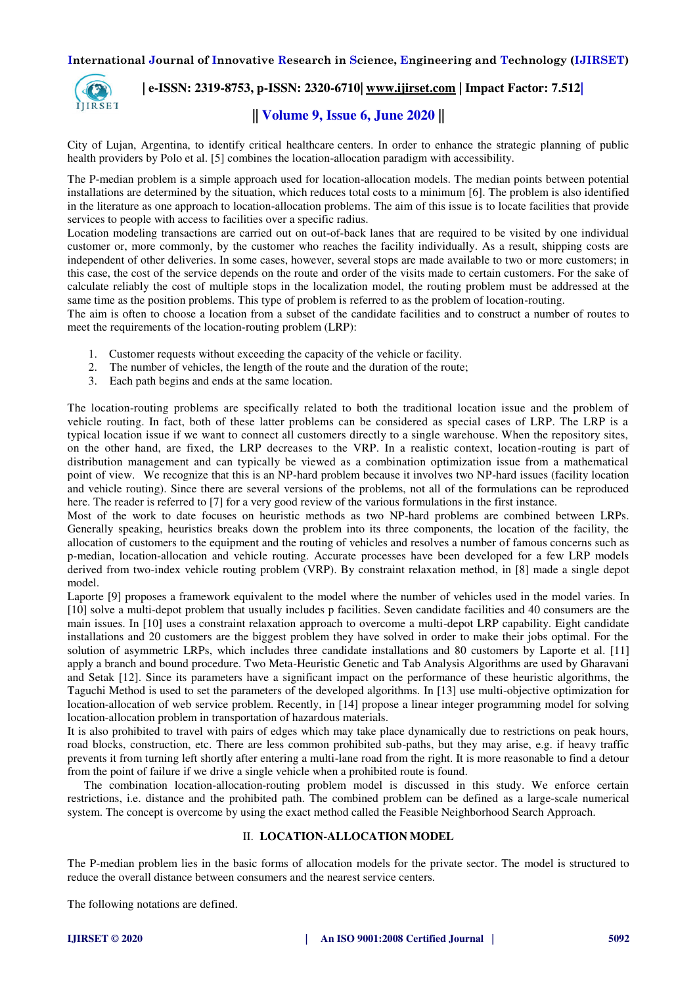

# **| e-ISSN: 2319-8753, p-ISSN: 2320-6710| [www.ijirset.com](http://www.ijirset.com/) | Impact Factor: 7.512|**

# **|| Volume 9, Issue 6, June 2020 ||**

City of Lujan, Argentina, to identify critical healthcare centers. In order to enhance the strategic planning of public health providers by Polo et al. [5] combines the location-allocation paradigm with accessibility.

The P-median problem is a simple approach used for location-allocation models. The median points between potential installations are determined by the situation, which reduces total costs to a minimum [6]. The problem is also identified in the literature as one approach to location-allocation problems. The aim of this issue is to locate facilities that provide services to people with access to facilities over a specific radius.

Location modeling transactions are carried out on out-of-back lanes that are required to be visited by one individual customer or, more commonly, by the customer who reaches the facility individually. As a result, shipping costs are independent of other deliveries. In some cases, however, several stops are made available to two or more customers; in this case, the cost of the service depends on the route and order of the visits made to certain customers. For the sake of calculate reliably the cost of multiple stops in the localization model, the routing problem must be addressed at the same time as the position problems. This type of problem is referred to as the problem of location-routing.

The aim is often to choose a location from a subset of the candidate facilities and to construct a number of routes to meet the requirements of the location-routing problem (LRP):

- 1. Customer requests without exceeding the capacity of the vehicle or facility.
- 2. The number of vehicles, the length of the route and the duration of the route;
- 3. Each path begins and ends at the same location.

The location-routing problems are specifically related to both the traditional location issue and the problem of vehicle routing. In fact, both of these latter problems can be considered as special cases of LRP. The LRP is a typical location issue if we want to connect all customers directly to a single warehouse. When the repository sites, on the other hand, are fixed, the LRP decreases to the VRP. In a realistic context, location-routing is part of distribution management and can typically be viewed as a combination optimization issue from a mathematical point of view. We recognize that this is an NP-hard problem because it involves two NP-hard issues (facility location and vehicle routing). Since there are several versions of the problems, not all of the formulations can be reproduced here. The reader is referred to [7] for a very good review of the various formulations in the first instance.

Most of the work to date focuses on heuristic methods as two NP-hard problems are combined between LRPs. Generally speaking, heuristics breaks down the problem into its three components, the location of the facility, the allocation of customers to the equipment and the routing of vehicles and resolves a number of famous concerns such as p-median, location-allocation and vehicle routing. Accurate processes have been developed for a few LRP models derived from two-index vehicle routing problem (VRP). By constraint relaxation method, in [8] made a single depot model.

Laporte [9] proposes a framework equivalent to the model where the number of vehicles used in the model varies. In [10] solve a multi-depot problem that usually includes p facilities. Seven candidate facilities and 40 consumers are the main issues. In [10] uses a constraint relaxation approach to overcome a multi-depot LRP capability. Eight candidate installations and 20 customers are the biggest problem they have solved in order to make their jobs optimal. For the solution of asymmetric LRPs, which includes three candidate installations and 80 customers by Laporte et al. [11] apply a branch and bound procedure. Two Meta-Heuristic Genetic and Tab Analysis Algorithms are used by Gharavani and Setak [12]. Since its parameters have a significant impact on the performance of these heuristic algorithms, the Taguchi Method is used to set the parameters of the developed algorithms. In [13] use multi-objective optimization for location-allocation of web service problem. Recently, in [14] propose a linear integer programming model for solving location-allocation problem in transportation of hazardous materials.

It is also prohibited to travel with pairs of edges which may take place dynamically due to restrictions on peak hours, road blocks, construction, etc. There are less common prohibited sub-paths, but they may arise, e.g. if heavy traffic prevents it from turning left shortly after entering a multi-lane road from the right. It is more reasonable to find a detour from the point of failure if we drive a single vehicle when a prohibited route is found.

The combination location-allocation-routing problem model is discussed in this study. We enforce certain restrictions, i.e. distance and the prohibited path. The combined problem can be defined as a large-scale numerical system. The concept is overcome by using the exact method called the Feasible Neighborhood Search Approach.

#### II. **LOCATION-ALLOCATION MODEL**

The P-median problem lies in the basic forms of allocation models for the private sector. The model is structured to reduce the overall distance between consumers and the nearest service centers.

The following notations are defined.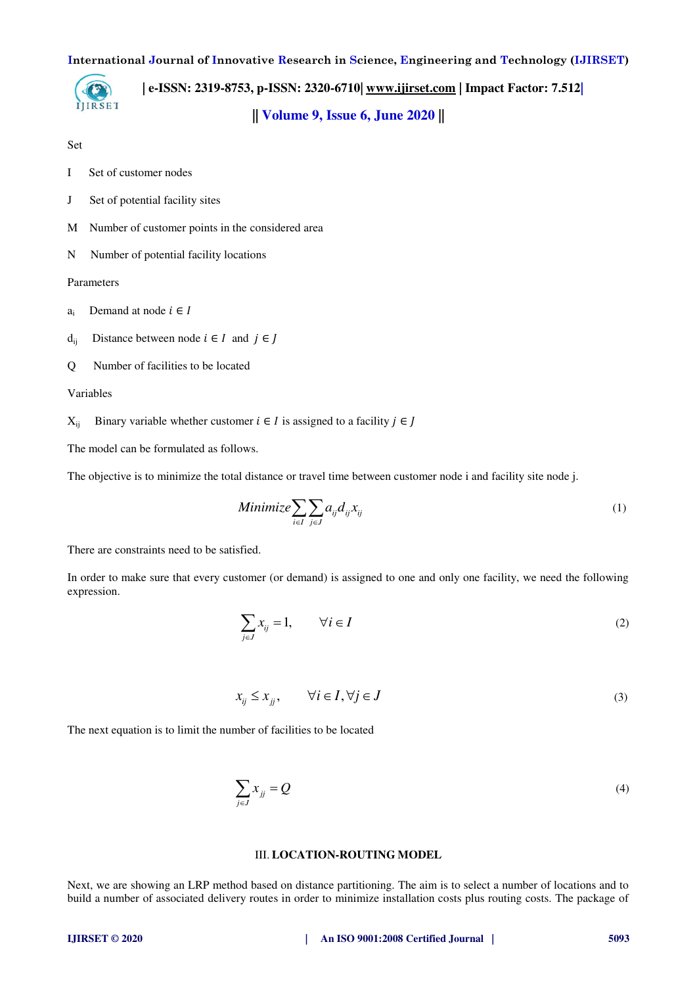œ IJIRSET

 **| e-ISSN: 2319-8753, p-ISSN: 2320-6710| [www.ijirset.com](http://www.ijirset.com/) | Impact Factor: 7.512|**

**|| Volume 9, Issue 6, June 2020 ||** 

Set

- I Set of customer nodes
- J Set of potential facility sites
- M Number of customer points in the considered area
- N Number of potential facility locations

#### Parameters

- a<sub>i</sub> Demand at node  $i \in I$
- $d_{ij}$  Distance between node  $i \in I$  and  $j \in J$
- Q Number of facilities to be located

Variables

 $X_{ii}$  Binary variable whether customer  $i \in I$  is assigned to a facility  $j \in J$ 

The model can be formulated as follows.

The objective is to minimize the total distance or travel time between customer node i and facility site node j.

Minimize 
$$
\sum_{i \in I} \sum_{j \in J} a_{ij} d_{ij} x_{ij}
$$
 (1)

There are constraints need to be satisfied.

In order to make sure that every customer (or demand) is assigned to one and only one facility, we need the following expression.

$$
\sum_{j \in J} x_{ij} = 1, \qquad \forall i \in I
$$
 (2)

$$
x_{ij} \le x_{jj}, \qquad \forall i \in I, \forall j \in J \tag{3}
$$

The next equation is to limit the number of facilities to be located

$$
\sum_{j \in J} x_{jj} = Q \tag{4}
$$

#### III. **LOCATION-ROUTING MODEL**

Next, we are showing an LRP method based on distance partitioning. The aim is to select a number of locations and to build a number of associated delivery routes in order to minimize installation costs plus routing costs. The package of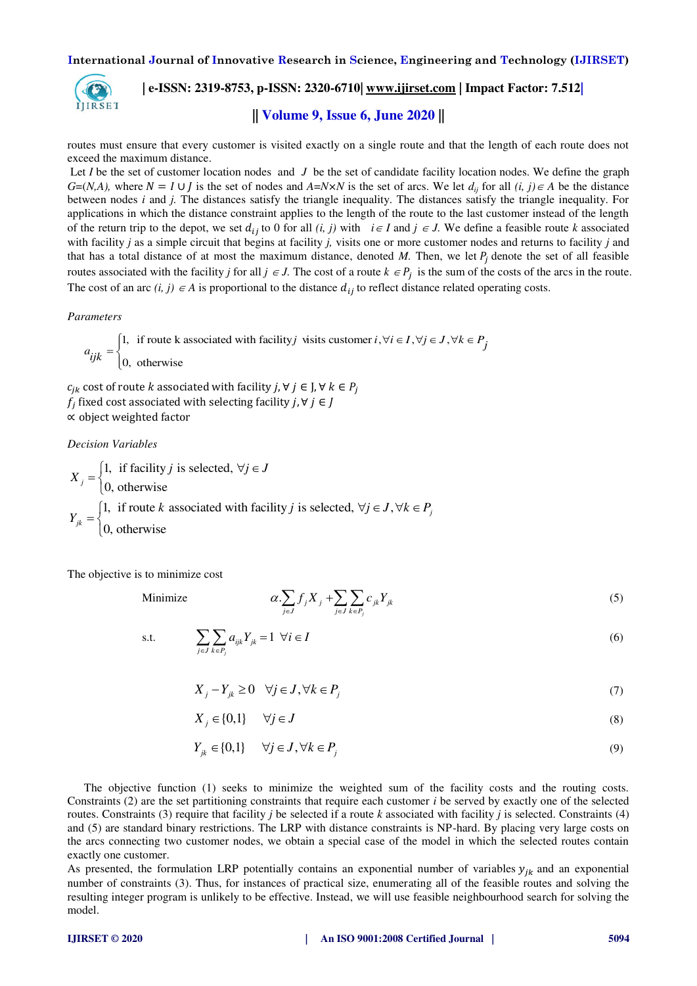

# **| e-ISSN: 2319-8753, p-ISSN: 2320-6710| [www.ijirset.com](http://www.ijirset.com/) | Impact Factor: 7.512|**

# **|| Volume 9, Issue 6, June 2020 ||**

routes must ensure that every customer is visited exactly on a single route and that the length of each route does not exceed the maximum distance.

Let *I* be the set of customer location nodes and *J* be the set of candidate facility location nodes. We define the graph  $G=(N,A)$ , where  $N = I \cup I$  is the set of nodes and  $A=N\times N$  is the set of arcs. We let  $d_{ii}$  for all  $(i, j) \in A$  be the distance between nodes *i* and *j.* The distances satisfy the triangle inequality. The distances satisfy the triangle inequality. For applications in which the distance constraint applies to the length of the route to the last customer instead of the length of the return trip to the depot, we set  $d_{ij}$  to 0 for all  $(i, j)$  with  $i \in I$  and  $j \in J$ . We define a feasible route *k* associated with facility *j* as a simple circuit that begins at facility *j,* visits one or more customer nodes and returns to facility *j* and that has a total distance of at most the maximum distance, denoted  $M$ . Then, we let  $P_i$  denote the set of all feasible routes associated with the facility *j* for all  $j \in J$ . The cost of a route  $k \in P_j$  is the sum of the costs of the arcs in the route. The cost of an arc  $(i, j) \in A$  is proportional to the distance  $d_{ij}$  to reflect distance related operating costs.

*Parameters* 

1, if route k associated with facility *j* visits customer  $i, \forall i \in I, \forall j \in J$ , 0, otherwise  $a_{ijk} =\begin{cases} 1, & \text{if route k associated with facility } j \text{ visits customer } i, \forall i \in I, \forall j \in J, \forall k \in P_j \end{cases}$  $\forall i \in I, \forall j \in J, \forall k \in$  $=\begin{cases}$  $\overline{\mathcal{L}}$ 

 $c_{jk}$  cost of route  $k$  associated with facility  $j, \forall j \in J, \forall k \in P_j$  $f_j$  fixed cost associated with selecting facility  $j$ ,  $\forall$   $j \in J$ ∝ object weighted factor

*Decision Variables* 

1, if facility  $j$  is selected,  $\int_0^1$  0, otherwise  $X_j = \begin{cases} 1, & \text{if facility } j \text{ is selected, } \forall j \in J \\ 0, & \text{otherwise} \end{cases}$  $\overline{\mathfrak{l}}$ 1, if route k associated with facility *j* is selected,  $\forall j \in J$ , 0, otherwise *j jk k* associated with facility *j* is selected,  $\forall j \in J, \forall k \in P$ *Y* [1, if route k associated with facility j is selected,  $\forall j \in J, \forall k \in$  $=\{$  $\overline{\mathcal{L}}$ 

*j*

The objective is to minimize cost

Minimize  $\alpha \cdot \sum_{j \in J} f_j X_j + \sum_{j \in J} \sum_{k \in P_j} c_{jk} Y_{jk}$  $\alpha$ .  $f_i X_i + \sum c_{ik} Y$  $\sum_{j \in J} f_j X_j + \sum_{j \in J} \sum_{k \in P_j} c_{jk} Y_{jk}$  (5)

$$
\text{s.t.} \qquad \sum_{j \in J} \sum_{k \in P_j} a_{ijk} Y_{jk} = 1 \ \forall i \in I
$$

$$
X_j - Y_{jk} \ge 0 \quad \forall j \in J, \forall k \in P_j \tag{7}
$$

$$
X_j \in \{0,1\} \qquad \forall j \in J \tag{8}
$$

$$
Y_{jk} \in \{0,1\} \qquad \forall j \in J, \forall k \in P_j \tag{9}
$$

The objective function (1) seeks to minimize the weighted sum of the facility costs and the routing costs. Constraints (2) are the set partitioning constraints that require each customer *i* be served by exactly one of the selected routes. Constraints (3) require that facility *j* be selected if a route *k* associated with facility *j* is selected. Constraints (4) and (5) are standard binary restrictions. The LRP with distance constraints is NP-hard. By placing very large costs on the arcs connecting two customer nodes, we obtain a special case of the model in which the selected routes contain exactly one customer.

As presented, the formulation LRP potentially contains an exponential number of variables  $y_{jk}$  and an exponential number of constraints (3). Thus, for instances of practical size, enumerating all of the feasible routes and solving the resulting integer program is unlikely to be effective. Instead, we will use feasible neighbourhood search for solving the model.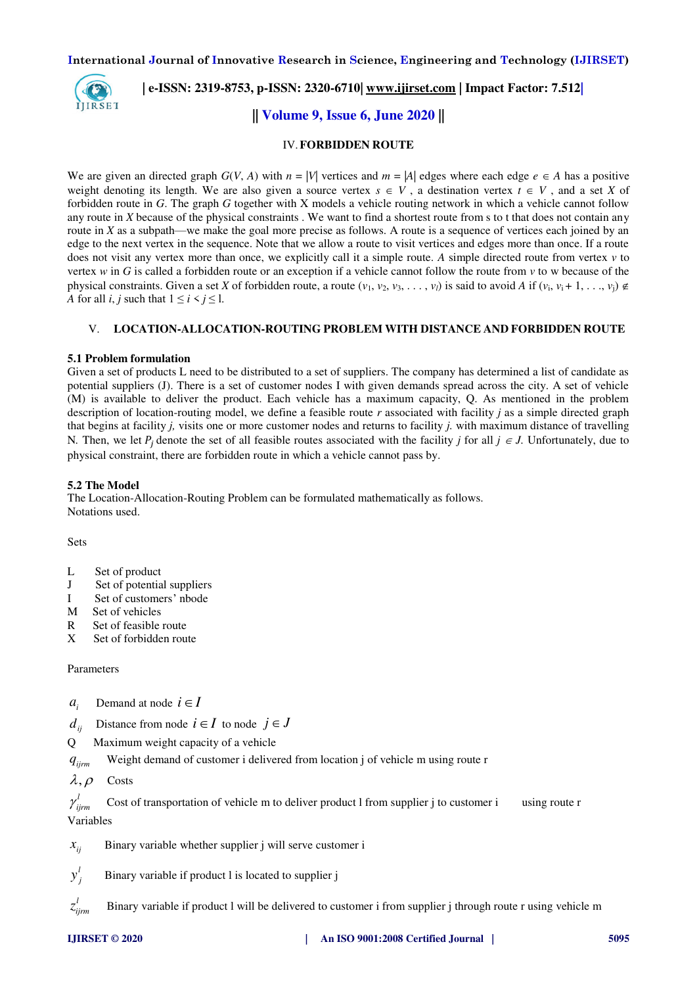

# **| e-ISSN: 2319-8753, p-ISSN: 2320-6710| [www.ijirset.com](http://www.ijirset.com/) | Impact Factor: 7.512|**

# **|| Volume 9, Issue 6, June 2020 ||**

#### IV.**FORBIDDEN ROUTE**

We are given an directed graph  $G(V, A)$  with  $n = |V|$  vertices and  $m = |A|$  edges where each edge  $e \in A$  has a positive weight denoting its length. We are also given a source vertex  $s \in V$ , a destination vertex  $t \in V$ , and a set X of forbidden route in *G*. The graph *G* together with X models a vehicle routing network in which a vehicle cannot follow any route in *X* because of the physical constraints . We want to find a shortest route from s to t that does not contain any route in *X* as a subpath—we make the goal more precise as follows. A route is a sequence of vertices each joined by an edge to the next vertex in the sequence. Note that we allow a route to visit vertices and edges more than once. If a route does not visit any vertex more than once, we explicitly call it a simple route. *A* simple directed route from vertex *v* to vertex *w* in *G* is called a forbidden route or an exception if a vehicle cannot follow the route from *v* to w because of the physical constraints. Given a set *X* of forbidden route, a route  $(v_1, v_2, v_3, \ldots, v_l)$  is said to avoid *A* if  $(v_i, v_i + 1, \ldots, v_j) \notin$ *A* for all *i*, *j* such that  $1 \le i \le j \le 1$ .

#### V. **LOCATION-ALLOCATION-ROUTING PROBLEM WITH DISTANCE AND FORBIDDEN ROUTE**

#### **5.1 Problem formulation**

Given a set of products L need to be distributed to a set of suppliers. The company has determined a list of candidate as potential suppliers (J). There is a set of customer nodes I with given demands spread across the city. A set of vehicle (M) is available to deliver the product. Each vehicle has a maximum capacity, Q. As mentioned in the problem description of location-routing model, we define a feasible route *r* associated with facility *j* as a simple directed graph that begins at facility *j,* visits one or more customer nodes and returns to facility *j.* with maximum distance of travelling N. Then, we let  $P_i$  denote the set of all feasible routes associated with the facility *j* for all  $j \in J$ . Unfortunately, due to physical constraint, there are forbidden route in which a vehicle cannot pass by.

#### **5.2 The Model**

The Location-Allocation-Routing Problem can be formulated mathematically as follows. Notations used.

Sets

- L Set of product
- J Set of potential suppliers
- I Set of customers' nbode
- M Set of vehicles
- R Set of feasible route<br>X Set of forbidden rou
- Set of forbidden route

Parameters

- $a_i$ Demand at node  $i \in I$
- *d*<sub>*ii*</sub> Distance from node  $i \in I$  to node  $j \in J$
- Q Maximum weight capacity of a vehicle

 $q_{ijrm}$  Weight demand of customer i delivered from location j of vehicle m using route r

 $\lambda$ ,  $\rho$  Costs

 $\gamma_{i:m}^l$ Cost of transportation of vehicle m to deliver product l from supplier *i* to customer *i* using route r Variables

 $x_{ii}$  Binary variable whether supplier j will serve customer i

*l j* Binary variable if product l is located to supplier *j* 

 $z_{iim}^l$ *Binary variable if product l will be delivered to customer i from supplier j through route r using vehicle m*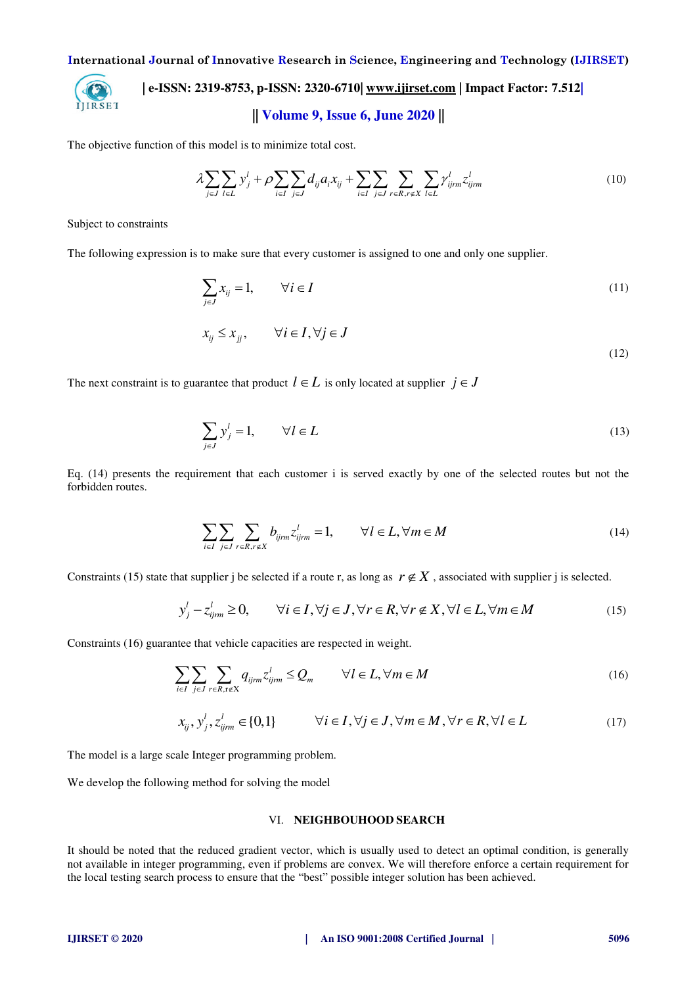

# **| e-ISSN: 2319-8753, p-ISSN: 2320-6710| [www.ijirset.com](http://www.ijirset.com/) | Impact Factor: 7.512| || Volume 9, Issue 6, June 2020 ||**

The objective function of this model is to minimize total cost.

$$
\lambda \sum_{j\in J} \sum_{l\in L} y_j^l + \rho \sum_{i\in I} \sum_{j\in J} d_{ij} a_i x_{ij} + \sum_{i\in I} \sum_{j\in J} \sum_{r\in R, r\not\in X} \sum_{l\in L} \gamma_{ijrm}^l z_{ijrm}^l \tag{10}
$$

Subject to constraints

The following expression is to make sure that every customer is assigned to one and only one supplier.

$$
\sum_{j\in J} x_{ij} = 1, \qquad \forall i \in I
$$
\n<sup>(11)</sup>

$$
x_{ij} \le x_{jj}, \qquad \forall i \in I, \forall j \in J
$$
\n
$$
(12)
$$

The next constraint is to guarantee that product  $l \in L$  is only located at supplier  $j \in J$ 

$$
\sum_{j \in J} y_j^l = 1, \qquad \forall l \in L \tag{13}
$$

Eq. (14) presents the requirement that each customer i is served exactly by one of the selected routes but not the forbidden routes.

$$
\sum_{i \in I} \sum_{j \in J} \sum_{r \in R, r \notin X} b_{ijrm} z_{ijrm}^l = 1, \qquad \forall l \in L, \forall m \in M
$$
\n(14)

Constraints (15) state that supplier j be selected if a route r, as long as  $r \notin X$ , associated with supplier j is selected.

$$
y_j^l - z_{ijrm}^l \ge 0, \qquad \forall i \in I, \forall j \in J, \forall r \in R, \forall r \notin X, \forall l \in L, \forall m \in M
$$
 (15)

Constraints (16) guarantee that vehicle capacities are respected in weight.

$$
\sum_{i \in I} \sum_{j \in J} \sum_{r \in R, r \notin X} q_{ijrm} z_{ijrm}^l \le Q_m \qquad \forall l \in L, \forall m \in M
$$
\n(16)

$$
x_{ij}, y_j^l, z_{ijrm}^l \in \{0, 1\} \qquad \forall i \in I, \forall j \in J, \forall m \in M, \forall r \in R, \forall l \in L \tag{17}
$$

The model is a large scale Integer programming problem.

We develop the following method for solving the model

#### VI. **NEIGHBOUHOOD SEARCH**

It should be noted that the reduced gradient vector, which is usually used to detect an optimal condition, is generally not available in integer programming, even if problems are convex. We will therefore enforce a certain requirement for the local testing search process to ensure that the "best" possible integer solution has been achieved.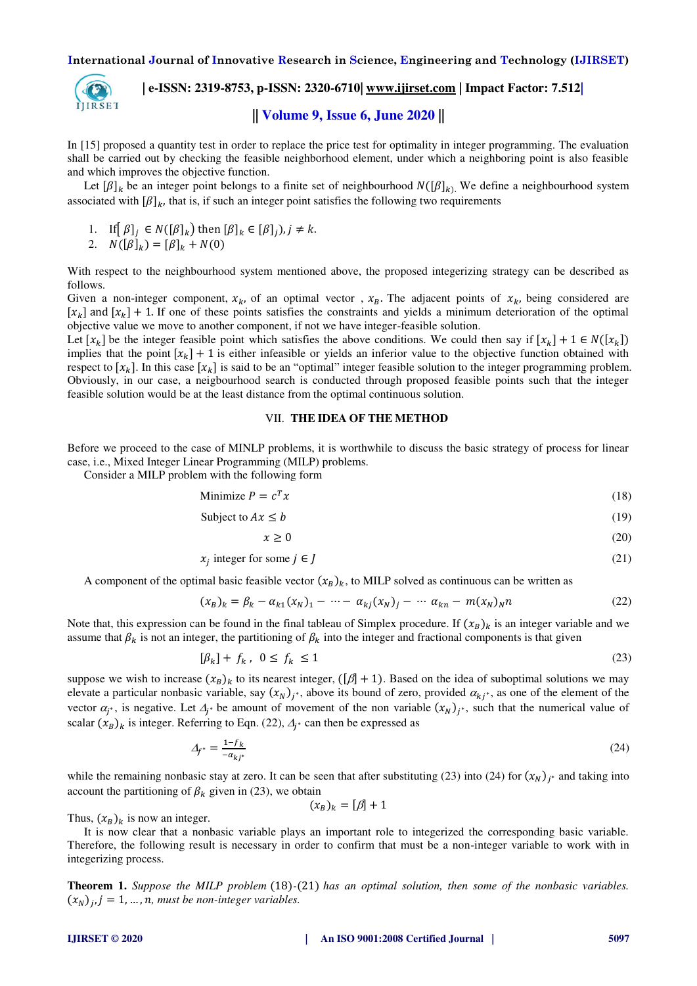

 **| e-ISSN: 2319-8753, p-ISSN: 2320-6710| [www.ijirset.com](http://www.ijirset.com/) | Impact Factor: 7.512|**

# **|| Volume 9, Issue 6, June 2020 ||**

In [15] proposed a quantity test in order to replace the price test for optimality in integer programming. The evaluation shall be carried out by checking the feasible neighborhood element, under which a neighboring point is also feasible and which improves the objective function.

Let  $[\beta]_k$  be an integer point belongs to a finite set of neighbourhood  $N([\beta]_k)$ . We define a neighbourhood system associated with  $[\beta]_k$ , that is, if such an integer point satisfies the following two requirements

1. If  $\lbrack \beta \rbrack_i \in N(\lbrack \beta \rbrack_k)$  then  $\lbrack \beta \rbrack_k \in \lbrack \beta \rbrack_i$ ,  $j \neq k$ .

2. 
$$
N([\beta]_k) = [\beta]_k + N(0)
$$

With respect to the neighbourhood system mentioned above, the proposed integerizing strategy can be described as follows.

Given a non-integer component,  $x_k$ , of an optimal vector,  $x_B$ . The adjacent points of  $x_k$ , being considered are  $[x_k]$  and  $[x_k]$  + 1. If one of these points satisfies the constraints and yields a minimum deterioration of the optimal objective value we move to another component, if not we have integer-feasible solution.

Let  $[x_k]$  be the integer feasible point which satisfies the above conditions. We could then say if  $[x_k] + 1 \in N([x_k])$ implies that the point  $[x_k] + 1$  is either infeasible or yields an inferior value to the objective function obtained with respect to  $[x_k]$ . In this case  $[x_k]$  is said to be an "optimal" integer feasible solution to the integer programming problem. Obviously, in our case, a neigbourhood search is conducted through proposed feasible points such that the integer feasible solution would be at the least distance from the optimal continuous solution.

#### VII. **THE IDEA OF THE METHOD**

Before we proceed to the case of MINLP problems, it is worthwhile to discuss the basic strategy of process for linear case, i.e., Mixed Integer Linear Programming (MILP) problems.

Consider a MILP problem with the following form

$$
Minimize P = c^T x \tag{18}
$$

$$
Subject to Ax \le b \tag{19}
$$

$$
x \ge 0\tag{20}
$$

$$
x_j \text{ integer for some } j \in J \tag{21}
$$

A component of the optimal basic feasible vector  $(x_B)_k$ , to MILP solved as continuous can be written as

$$
(x_B)_k = \beta_k - \alpha_{k1}(x_N)_1 - \dots - \alpha_{kj}(x_N)_j - \dots - \alpha_{kn} - m(x_N)_N n
$$
 (22)

Note that, this expression can be found in the final tableau of Simplex procedure. If  $(x_B)_k$  is an integer variable and we assume that  $\beta_k$  is not an integer, the partitioning of  $\beta_k$  into the integer and fractional components is that given

$$
[\beta_k] + f_k, \ 0 \le f_k \le 1 \tag{23}
$$

suppose we wish to increase  $(x_B)_k$  to its nearest integer,  $([\beta] + 1)$ . Based on the idea of suboptimal solutions we may elevate a particular nonbasic variable, say  $(x_N)_{j^*}$ , above its bound of zero, provided  $\alpha_{kj^*}$ , as one of the element of the vector  $\alpha_{j^*}$ , is negative. Let  $\Delta_{j^*}$  be amount of movement of the non variable  $(x_N)_{j^*}$ , such that the numerical value of scalar  $(x_B)_k$  is integer. Referring to Eqn. (22),  $\Delta_{j^*}$  can then be expressed as

$$
\Delta f^* = \frac{1 - f_k}{-a_{kj^*}}\tag{24}
$$

while the remaining nonbasic stay at zero. It can be seen that after substituting (23) into (24) for  $(x_N)_{j^*}$  and taking into account the partitioning of  $\beta_k$  given in (23), we obtain

 $(x_R)_k = [\beta] + 1$ 

Thus,  $(x_B)_k$  is now an integer.

It is now clear that a nonbasic variable plays an important role to integerized the corresponding basic variable. Therefore, the following result is necessary in order to confirm that must be a non-integer variable to work with in integerizing process.

**Theorem 1.** *Suppose the MILP problem* (18)*-*(21) *has an optimal solution, then some of the nonbasic variables.*   $(x_N)_j$ ,  $j = 1, \ldots, n$ , must be non-integer variables.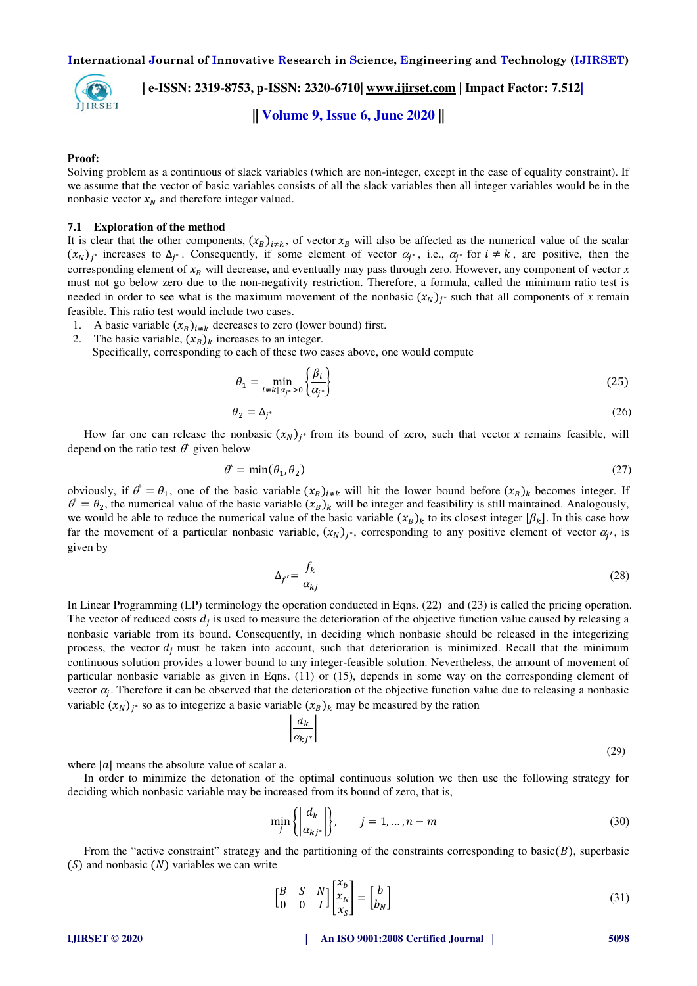

 **| e-ISSN: 2319-8753, p-ISSN: 2320-6710| [www.ijirset.com](http://www.ijirset.com/) | Impact Factor: 7.512|**

**|| Volume 9, Issue 6, June 2020 ||** 

#### **Proof:**

Solving problem as a continuous of slack variables (which are non-integer, except in the case of equality constraint). If we assume that the vector of basic variables consists of all the slack variables then all integer variables would be in the nonbasic vector  $x_N$  and therefore integer valued.

#### **7.1 Exploration of the method**

It is clear that the other components,  $(x_B)_{i \neq k}$ , of vector  $x_B$  will also be affected as the numerical value of the scalar  $(x_N)_j$ <sup>\*</sup> increases to  $\Delta_{j^*}$ . Consequently, if some element of vector  $\alpha_{j^*}$ , i.e.,  $\alpha_{j^*}$  for  $i \neq k$ , are positive, then the corresponding element of  $x_B$  will decrease, and eventually may pass through zero. However, any component of vector  $x$ must not go below zero due to the non-negativity restriction. Therefore, a formula, called the minimum ratio test is needed in order to see what is the maximum movement of the nonbasic  $(x_N)_{j^*}$  such that all components of *x* remain feasible. This ratio test would include two cases.

- 1. A basic variable  $(x_B)_{i \neq k}$  decreases to zero (lower bound) first.<br>2. The basic variable,  $(x_B)_k$  increases to an integer.
- The basic variable,  $(x_B)_k$  increases to an integer.

Specifically, corresponding to each of these two cases above, one would compute

|

$$
\theta_1 = \min_{i \neq k \mid \alpha_{j^*} > 0} \left\{ \frac{\beta_i}{\alpha_{j^*}} \right\} \tag{25}
$$

$$
\theta_2 = \Delta_{j^*} \tag{26}
$$

How far one can release the nonbasic  $(x_N)_{j^*}$  from its bound of zero, such that vector x remains feasible, will depend on the ratio test  $\theta^*$  given below

$$
\theta^* = \min(\theta_1, \theta_2) \tag{27}
$$

obviously, if  $\theta^* = \theta_1$ , one of the basic variable  $(x_B)_{i \neq k}$  will hit the lower bound before  $(x_B)_k$  becomes integer. If  $\theta^* = \theta_2$ , the numerical value of the basic variable  $(x_B)_k$  will be integer and feasibility is still maintained. Analogously, we would be able to reduce the numerical value of the basic variable  $(x_B)_k$  to its closest integer  $[\beta_k]$ . In this case how far the movement of a particular nonbasic variable,  $(x_N)_{j^*}$ , corresponding to any positive element of vector  $\alpha_{j'}$ , is given by

$$
\Delta_{f'} = \frac{f_k}{\alpha_{kj}}\tag{28}
$$

In Linear Programming (LP) terminology the operation conducted in Eqns. (22) and (23) is called the pricing operation. The vector of reduced costs  $d_j$  is used to measure the deterioration of the objective function value caused by releasing a nonbasic variable from its bound. Consequently, in deciding which nonbasic should be released in the integerizing process, the vector  $d_j$  must be taken into account, such that deterioration is minimized. Recall that the minimum continuous solution provides a lower bound to any integer-feasible solution. Nevertheless, the amount of movement of particular nonbasic variable as given in Eqns. (11) or (15), depends in some way on the corresponding element of vector  $\alpha_j$ . Therefore it can be observed that the deterioration of the objective function value due to releasing a nonbasic variable  $(x_N)_{j^*}$  so as to integerize a basic variable  $(x_B)_k$  may be measured by the ration

$$
\left. \frac{d_k}{\alpha_{kj^*}} \right| \tag{29}
$$

where  $|a|$  means the absolute value of scalar a.

In order to minimize the detonation of the optimal continuous solution we then use the following strategy for deciding which nonbasic variable may be increased from its bound of zero, that is,

$$
\min_{j} \left\{ \left| \frac{d_k}{\alpha_{kj^*}} \right| \right\}, \qquad j = 1, \dots, n-m \tag{30}
$$

From the "active constraint" strategy and the partitioning of the constraints corresponding to basic $(B)$ , superbasic  $(S)$  and nonbasic  $(N)$  variables we can write

$$
\begin{bmatrix} B & S & N \\ 0 & 0 & I \end{bmatrix} \begin{bmatrix} x_b \\ x_N \\ x_S \end{bmatrix} = \begin{bmatrix} b \\ b_N \end{bmatrix} \tag{31}
$$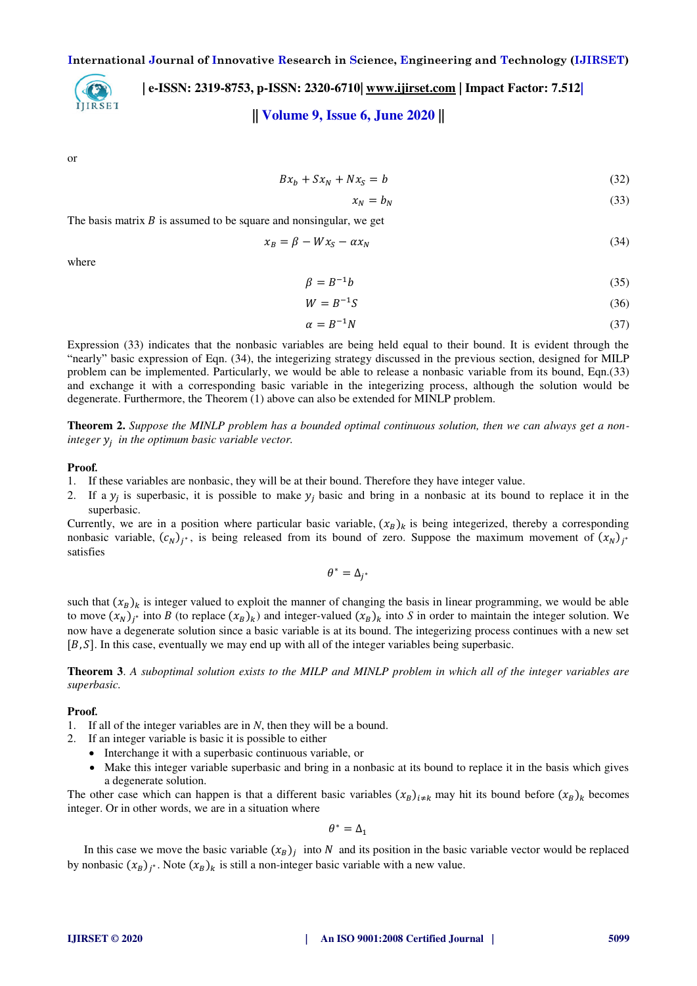

# **| e-ISSN: 2319-8753, p-ISSN: 2320-6710| [www.ijirset.com](http://www.ijirset.com/) | Impact Factor: 7.512|**

# **|| Volume 9, Issue 6, June 2020 ||**

or

$$
Bx_b + Sx_N + Nx_S = b \tag{32}
$$

$$
x_N = b_N \tag{33}
$$

The basis matrix  $B$  is assumed to be square and nonsingular, we get

$$
x_B = \beta - Wx_S - \alpha x_N \tag{34}
$$

where

$$
\beta = B^{-1}b\tag{35}
$$

$$
W = B^{-1}S \tag{36}
$$

$$
\alpha = B^{-1}N\tag{37}
$$

Expression (33) indicates that the nonbasic variables are being held equal to their bound. It is evident through the "nearly" basic expression of Eqn. (34), the integerizing strategy discussed in the previous section, designed for MILP problem can be implemented. Particularly, we would be able to release a nonbasic variable from its bound, Eqn.(33) and exchange it with a corresponding basic variable in the integerizing process, although the solution would be degenerate. Furthermore, the Theorem (1) above can also be extended for MINLP problem.

**Theorem 2.** *Suppose the MINLP problem has a bounded optimal continuous solution, then we can always get a noninteger in the optimum basic variable vector.* 

#### **Proof***.*

- 1. If these variables are nonbasic, they will be at their bound. Therefore they have integer value.
- 2. If a  $y_j$  is superbasic, it is possible to make  $y_j$  basic and bring in a nonbasic at its bound to replace it in the superbasic.

Currently, we are in a position where particular basic variable,  $(x_B)_k$  is being integerized, thereby a corresponding nonbasic variable,  $(c_N)_{j^*}$ , is being released from its bound of zero. Suppose the maximum movement of  $(x_N)_{j^*}$ satisfies

$$
\theta^*=\Delta_{j^*}
$$

such that  $(x_B)_k$  is integer valued to exploit the manner of changing the basis in linear programming, we would be able to move  $(x_N)_{j^*}$  into *B* (to replace  $(x_B)_k$ ) and integer-valued  $(x_B)_k$  into *S* in order to maintain the integer solution. We now have a degenerate solution since a basic variable is at its bound. The integerizing process continues with a new set  $[B, S]$ . In this case, eventually we may end up with all of the integer variables being superbasic.

**Theorem 3**. *A suboptimal solution exists to the MILP and MINLP problem in which all of the integer variables are superbasic.* 

#### **Proof***.*

- 1. If all of the integer variables are in *N*, then they will be a bound.
- 2. If an integer variable is basic it is possible to either
	- Interchange it with a superbasic continuous variable, or
	- Make this integer variable superbasic and bring in a nonbasic at its bound to replace it in the basis which gives a degenerate solution.

The other case which can happen is that a different basic variables  $(x_B)_{i \neq k}$  may hit its bound before  $(x_B)_k$  becomes integer. Or in other words, we are in a situation where

$$
\theta^* = \Delta_1
$$

In this case we move the basic variable  $(x_B)_j$  into N and its position in the basic variable vector would be replaced by nonbasic  $(x_B)_{j^*}$ . Note  $(x_B)_k$  is still a non-integer basic variable with a new value.